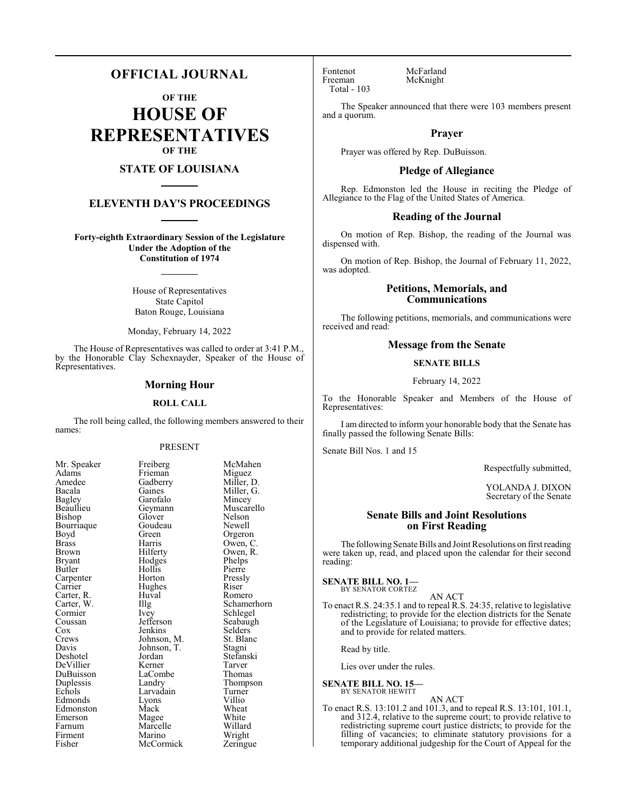# **OFFICIAL JOURNAL**

**OF THE**

**HOUSE OF REPRESENTATIVES OF THE**

# **STATE OF LOUISIANA**

# **ELEVENTH DAY'S PROCEEDINGS**

**Forty-eighth Extraordinary Session of the Legislature Under the Adoption of the Constitution of 1974**

> House of Representatives State Capitol Baton Rouge, Louisiana

Monday, February 14, 2022

The House of Representatives was called to order at 3:41 P.M., by the Honorable Clay Schexnayder, Speaker of the House of Representatives.

## **Morning Hour**

#### **ROLL CALL**

The roll being called, the following members answered to their names:

#### PRESENT

Frieman<br>Gadberry

Garofalo<br>Geymann

Goudeau<br>Green

Hughes<br>Huyal

Marcelle<br>Marino

| Mr. Speaker              |
|--------------------------|
| Adams                    |
| Amedee                   |
| Bacala                   |
| <b>Bagley</b>            |
| Beaullieu                |
| Bishop                   |
| Bourriaque               |
| Boyd                     |
| <b>Brass</b>             |
| Brown                    |
| <b>Bryant</b>            |
| Butler                   |
| Carpenter                |
| Carrier                  |
|                          |
| Carter, R.<br>Carter, W. |
| Cormier                  |
| Coussan                  |
| $\overline{\text{Cox}}$  |
| Crews                    |
| Davis                    |
| Deshotel                 |
| DeVillier                |
| DuBuisson                |
| Duplessis                |
| Echols                   |
| Edmonds                  |
| Edmonston                |
| Emerson                  |
| Farnum                   |
| Firment                  |
| Fisher                   |

Freiberg McMahen<br>Frieman Miguez Gadberry Miller, D.<br>Gaines Miller, G. Miller, G.<br>Mincey Muscarello<br>Nelson Glover Nelson<br>Goudeau Newell Green Orgeron<br>Harris Owen, C Harris Owen, C.<br>Hilferty Owen, R. Owen, R.<br>Phelps Hodges Phelps<br>Hollis Pierre Hollis Pierre<br>
Horton Pressly Horton Pressl<br>Hughes Riser Huval Romero<br>Illg Schamer Illg Schamerhorn<br>Ivey Schlegel Schlegel<br>Seabaugh Jefferson Seabaug<br>Jenkins Selders Jenkins Selders<br>Johnson, M. St. Blanc Johnson, M. St. Blanch<br>Johnson, T. Stagni Johnson, T.<br>Jordan Stefanski<br>Tarver Kerner Tarver<br>LaCombe Thomas LaCombe<br>Landry Thompson<br>Turner Larvadain Turner<br>Lyons Villio Eyons Villio<br>Mack Wheat Edmonston Mack Wheat Magee White<br>
Marcelle Willard Wright<br>Zeringue **McCormick** 

Fontenot McFarland<br>Freeman McKnight Total - 103

McKnight

The Speaker announced that there were 103 members present and a quorum.

## **Prayer**

Prayer was offered by Rep. DuBuisson.

#### **Pledge of Allegiance**

Rep. Edmonston led the House in reciting the Pledge of Allegiance to the Flag of the United States of America.

#### **Reading of the Journal**

On motion of Rep. Bishop, the reading of the Journal was dispensed with.

On motion of Rep. Bishop, the Journal of February 11, 2022, was adopted.

# **Petitions, Memorials, and Communications**

The following petitions, memorials, and communications were received and read:

## **Message from the Senate**

#### **SENATE BILLS**

February 14, 2022

To the Honorable Speaker and Members of the House of Representatives:

I am directed to inform your honorable body that the Senate has finally passed the following Senate Bills:

Senate Bill Nos. 1 and 15

Respectfully submitted,

YOLANDA J. DIXON Secretary of the Senate

# **Senate Bills and Joint Resolutions on First Reading**

The following Senate Bills and Joint Resolutions on first reading were taken up, read, and placed upon the calendar for their second reading:

#### **SENATE BILL NO. 1—** BY SENATOR CORTEZ

AN ACT

To enact R.S. 24:35.1 and to repeal R.S. 24:35, relative to legislative redistricting; to provide for the election districts for the Senate of the Legislature of Louisiana; to provide for effective dates; and to provide for related matters.

Read by title.

Lies over under the rules.

#### **SENATE BILL NO. 15—** BY SENATOR HEWITT

AN ACT To enact R.S. 13:101.2 and 101.3, and to repeal R.S. 13:101, 101.1, and 312.4, relative to the supreme court; to provide relative to redistricting supreme court justice districts; to provide for the filling of vacancies; to eliminate statutory provisions for a temporary additional judgeship for the Court of Appeal for the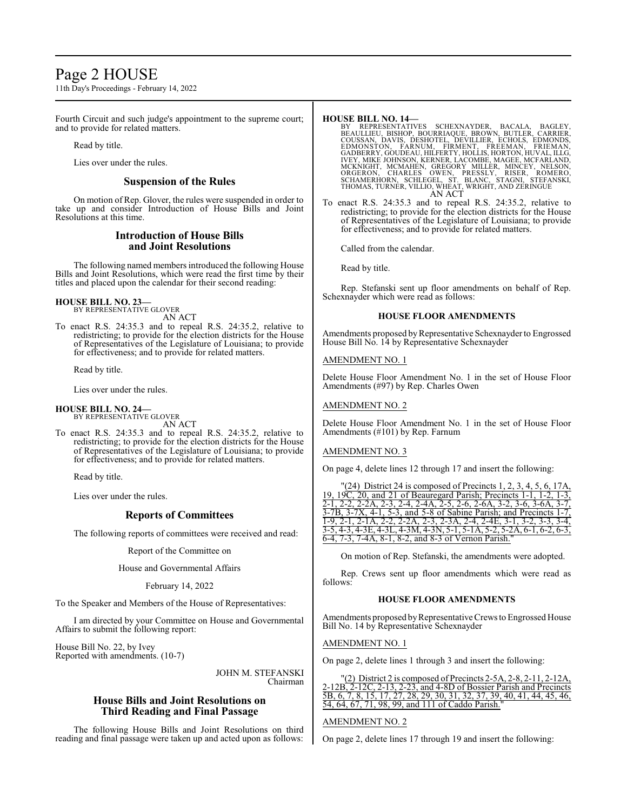# Page 2 HOUSE

11th Day's Proceedings - February 14, 2022

Fourth Circuit and such judge's appointment to the supreme court; and to provide for related matters.

Read by title.

Lies over under the rules.

# **Suspension of the Rules**

On motion of Rep. Glover, the rules were suspended in order to take up and consider Introduction of House Bills and Joint Resolutions at this time.

# **Introduction of House Bills and Joint Resolutions**

The following named members introduced the following House Bills and Joint Resolutions, which were read the first time by their titles and placed upon the calendar for their second reading:

**HOUSE BILL NO. 23—**

BY REPRESENTATIVE GLOVER AN ACT

To enact R.S. 24:35.3 and to repeal R.S. 24:35.2, relative to redistricting; to provide for the election districts for the House of Representatives of the Legislature of Louisiana; to provide for effectiveness; and to provide for related matters.

Read by title.

Lies over under the rules.

# **HOUSE BILL NO. 24—**

BY REPRESENTATIVE GLOVER AN ACT

To enact R.S. 24:35.3 and to repeal R.S. 24:35.2, relative to redistricting; to provide for the election districts for the House of Representatives of the Legislature of Louisiana; to provide for effectiveness; and to provide for related matters.

Read by title.

Lies over under the rules.

# **Reports of Committees**

The following reports of committees were received and read:

Report of the Committee on

House and Governmental Affairs

February 14, 2022

To the Speaker and Members of the House of Representatives:

I am directed by your Committee on House and Governmental Affairs to submit the following report:

House Bill No. 22, by Ivey Reported with amendments. (10-7)

> JOHN M. STEFANSKI Chairman

# **House Bills and Joint Resolutions on Third Reading and Final Passage**

The following House Bills and Joint Resolutions on third reading and final passage were taken up and acted upon as follows:

### **HOUSE BILL NO. 14—**

- BY REPRESENTATIVES SCHEXNAYDER, BACALA, BAGLEY,<br>BEAULLIEU, BISHOP, BOURRIAQUE, BROWN, BUTLER, CARRIER,<br>COUSSAN, DAVIS, DESHOTEL, DEVILLIER, ECHOLS, EDMONDS,<br>EDMONSTON, FARNUM, FIRMENT, FREEMAN, FRIEMAN,<br>GADBERRY, GOUDEAU,H MCKNIGHT, MCMAHËN, GREGORY MILLËR, MINCEY, NELSON,<br>ORGERON, CHARLES OWEN, PRESSLY, RISER, ROMERO,<br>SCHAMERHORN, SCHLEGEL, ST. BLANC, STAGNI, STEFANSKI,<br>THOMAS,TURNER,VILLIO,WHEAT,WRIGHT,AND ZERINGUE AN ACT
- To enact R.S. 24:35.3 and to repeal R.S. 24:35.2, relative to redistricting; to provide for the election districts for the House of Representatives of the Legislature of Louisiana; to provide for effectiveness; and to provide for related matters.

Called from the calendar.

Read by title.

Rep. Stefanski sent up floor amendments on behalf of Rep. Schexnayder which were read as follows:

# **HOUSE FLOOR AMENDMENTS**

Amendments proposed by Representative Schexnayder to Engrossed House Bill No. 14 by Representative Schexnayder

AMENDMENT NO. 1

Delete House Floor Amendment No. 1 in the set of House Floor Amendments (#97) by Rep. Charles Owen

## AMENDMENT NO. 2

Delete House Floor Amendment No. 1 in the set of House Floor Amendments (#101) by Rep. Farnum

# AMENDMENT NO. 3

On page 4, delete lines 12 through 17 and insert the following:

| " $(24)$ District 24 is composed of Precincts 1, 2, 3, 4, 5, 6, 17A,              |
|-----------------------------------------------------------------------------------|
| 19, 19 $\overline{C}$ , 20, and 21 of Beauregard Parish; Precincts 1-1, 1-2, 1-3, |
| 2-1, 2-2, 2-2A, 2-3, 2-4, 2-4A, 2-5, 2-6, 2-6A, 3-2, 3-6, 3-6A, 3-7,              |
| $3-7B$ , $3-7X$ , $4-1$ , $5-3$ , and $5-8$ of Sabine Parish; and Precincts 1-7,  |
| 1-9, 2-1, 2-1A, 2-2, 2-2A, 2-3, 2-3A, 2-4, 2-4E, 3-1, 3-2, 3-3, 3-4,              |
| 3-5, 4-3, 4-3E, 4-3L, 4-3M, 4-3N, 5-1, 5-1A, 5-2, 5-2A, 6-1, 6-2, 6-3,            |
| 6-4, 7-3, 7-4A, 8-1, 8-2, and 8-3 of Vernon Parish."                              |

On motion of Rep. Stefanski, the amendments were adopted.

Rep. Crews sent up floor amendments which were read as follows:

# **HOUSE FLOOR AMENDMENTS**

Amendments proposed by Representative Crews to Engrossed House Bill No. 14 by Representative Schexnayder

AMENDMENT NO. 1

On page 2, delete lines 1 through 3 and insert the following:

|  |                                                   |  |  | $"(2)$ District 2 is composed of Precincts 2-5A, 2-8, 2-11, 2-12A,       |  |
|--|---------------------------------------------------|--|--|--------------------------------------------------------------------------|--|
|  |                                                   |  |  | 2-12B, 2-12C, 2-13, 2-23, and 4-8D of Bossier Parish and Precincts       |  |
|  |                                                   |  |  | 5B, 6, 7, 8, 15, 17, 27, 28, 29, 30, 31, 32, 37, 39, 40, 41, 44, 45, 46, |  |
|  | 54, 64, 67, 71, 98, 99, and 111 of Caddo Parish." |  |  |                                                                          |  |

# AMENDMENT NO. 2

On page 2, delete lines 17 through 19 and insert the following: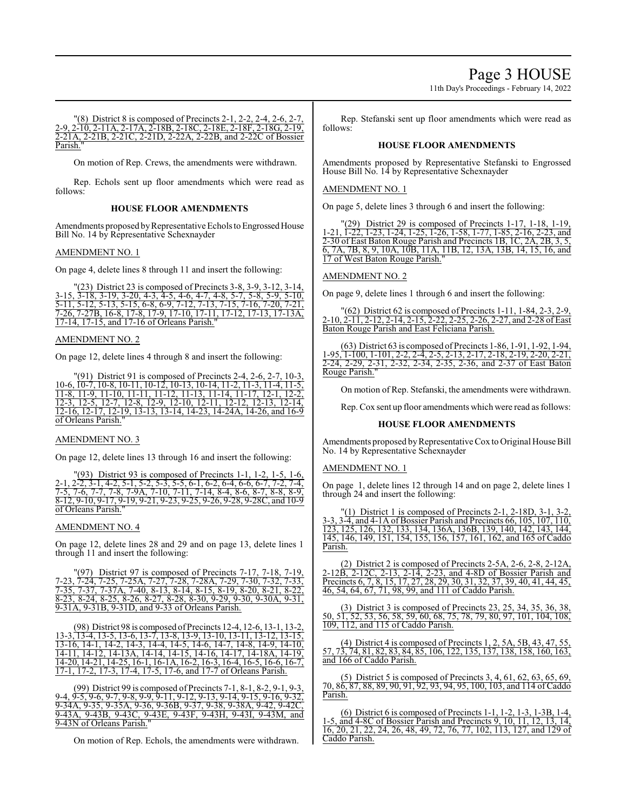Page 3 HOUSE

11th Day's Proceedings - February 14, 2022

"(8) District 8 is composed of Precincts 2-1, 2-2, 2-4, 2-6, 2-7, 2-9, 2-10, 2-11A, 2-17A, 2-18B, 2-18C, 2-18E, 2-18F, 2-18G, 2-19, 2-21A, 2-21B, 2-21C, 2-21D, 2-22A, 2-22B, and 2-22C of Bossier Parish.

On motion of Rep. Crews, the amendments were withdrawn.

Rep. Echols sent up floor amendments which were read as follows:

# **HOUSE FLOOR AMENDMENTS**

Amendments proposed by Representative Echols to Engrossed House Bill No. 14 by Representative Schexnayder

# AMENDMENT NO. 1

On page 4, delete lines 8 through 11 and insert the following:

"(23) District 23 is composed of Precincts 3-8, 3-9, 3-12, 3-14, 3-15, 3-18, 3-19, 3-20, 4-3, 4-5, 4-6, 4-7, 4-8, 5-7, 5-8, 5-9, 5-10, 5-11, 5-12, 5-13, 5-15, 6-8, 6-9, 7-12, 7-13, 7-15, 7-16, 7-20, 7-21, 7-26, 7-27B, 16-8, 17-8, 17-9, 17-10, 17-11, 17-12, 17-13, 17-13A, 17-14, 17-15, and 17-16 of Orleans Parish."

#### AMENDMENT NO. 2

On page 12, delete lines 4 through 8 and insert the following:

"(91) District 91 is composed of Precincts 2-4, 2-6, 2-7, 10-3, 10-6, 10-7, 10-8, 10-11, 10-12, 10-13, 10-14, 11-2, 11-3, 11-4, 11-5, 11-8, 11-9, 11-10, 11-11, 11-12, 11-13, 11-14, 11-17, 12-1, 12-2, 12-3, 12-5, 12-7, 12-8, 12-9, 12-10, 12-11, 12-12, 12-13, 12-14, 12-16, 12-17, 12-19, 13-13, 13-14, 14-23, 14-24A, 14-26, and 16-9 of Orleans Parish."

#### AMENDMENT NO. 3

On page 12, delete lines 13 through 16 and insert the following:

(93) District 93 is composed of Precincts 1-1, 1-2, 1-5, 1-6, 2-1, 2-2, 3-1, 4-2, 5-1, 5-2, 5-3, 5-5, 6-1, 6-2, 6-4, 6-6, 6-7, 7-2, 7-4, 7-5, 7-6, 7-7, 7-8, 7-9A, 7-10, 7-11, 7-14, 8-4, 8-6, 8-7, 8-8, 8-9,  $8-12, 9-10, 9-17, 9-19, 9-21, 9-23, 9-25, 9-26, 9-28, 9-28C, and 10-9$ of Orleans Parish."

#### AMENDMENT NO. 4

On page 12, delete lines 28 and 29 and on page 13, delete lines 1 through 11 and insert the following:

District 97 is composed of Precincts 7-17, 7-18, 7-23, 7-24, 7-25, 7-25A, 7-27, 7-28, 7-28A, 7-29, 7-30, 7-32, 7-33, 7-35, 7-37, 7-37A, 7-40, 8-13, 8-14, 8-15, 8-19, 8-20, 8-21, 8-22, 8-23, 8-24, 8-25, 8-26, 8-27, 8-28, 8-30, 9-29, 9-30, 9-30A, 9-31, 9-31A, 9-31B, 9-31D, and 9-33 of Orleans Parish.

(98) District 98 is composed ofPrecincts 12-4, 12-6, 13-1, 13-2, 13-3, 13-4, 13-5, 13-6, 13-7, 13-8, 13-9, 13-10, 13-11, 13-12, 13-15, 13-16, 14-1, 14-2, 14-3, 14-4, 14-5, 14-6, 14-7, 14-8, 14-9, 14-10, 14-11, 14-12, 14-13A, 14-14, 14-15, 14-16, 14-17, 14-18A, 14-19, 14-20, 14-21, 14-25, 16-1, 16-1A, 16-2, 16-3, 16-4, 16-5, 16-6, 16-7, 17-1, 17-2, 17-3, 17-4, 17-5, 17-6, and 17-7 of Orleans Parish.

(99) District 99 is composed of Precincts 7-1, 8-1, 8-2, 9-1, 9-3, 9-4, 9-5, 9-6, 9-7, 9-8, 9-9, 9-11, 9-12, 9-13, 9-14, 9-15, 9-16, 9-32, 9-34A, 9-35, 9-35A, 9-36, 9-36B, 9-37, 9-38, 9-38A, 9-42, 9-42C, 9-43A, 9-43B, 9-43C, 9-43E, 9-43F, 9-43H, 9-43I, 9-43M, and 9-43N of Orleans Parish."

On motion of Rep. Echols, the amendments were withdrawn.

Rep. Stefanski sent up floor amendments which were read as follows:

#### **HOUSE FLOOR AMENDMENTS**

Amendments proposed by Representative Stefanski to Engrossed House Bill No. 14 by Representative Schexnayder

#### AMENDMENT NO. 1

On page 5, delete lines 3 through 6 and insert the following:

"(29) District 29 is composed of Precincts 1-17, 1-18, 1-19, 1-21, 1-22, 1-23, 1-24, 1-25, 1-26, 1-58, 1-77, 1-85, 2-16, 2-23, and 2-30 of East Baton Rouge Parish and Precincts 1B, 1C, 2A, 2B, 3, 5, 6, 7A, 7B, 8, 9, 10A, 10B, 11A, 11B, 12, 13A, 13B, 14, 15, 16, and 17 of West Baton Rouge Parish."

#### AMENDMENT NO. 2

On page 9, delete lines 1 through 6 and insert the following:

"(62) District 62 is composed of Precincts 1-11, 1-84, 2-3, 2-9, 2-10, 2-11, 2-12, 2-14, 2-15, 2-22, 2-25, 2-26, 2-27, and 2-28 of East Baton Rouge Parish and East Feliciana Parish.

(63) District 63 is composed of Precincts 1-86, 1-91, 1-92, 1-94, 1-95, 1-100, 1-101, 2-2, 2-4, 2-5, 2-13, 2-17, 2-18, 2-19, 2-20, 2-21, 2-24, 2-29, 2-31, 2-32, 2-34, 2-35, 2-36, and 2-37 of East Baton 2-34, 2-35, 2-36, and 2-37 of East Baton Rouge Parish."

On motion of Rep. Stefanski, the amendments were withdrawn.

Rep. Cox sent up floor amendments which were read as follows:

#### **HOUSE FLOOR AMENDMENTS**

Amendments proposed by Representative Cox to Original House Bill No. 14 by Representative Schexnayder

#### AMENDMENT NO. 1

On page 1, delete lines 12 through 14 and on page 2, delete lines 1 through 24 and insert the following:

"(1) District 1 is composed of Precincts 2-1, 2-18D, 3-1, 3-2, 3-3, 3-4, and 4-1A of Bossier Parish and Precincts 66, 105, 107, 110, 123, 125, 126, 132, 133, 134, 136A, 136B, 139, 140, 142, 143, 144, 145, 146, 149, 151, 154, 155, 156, 157, 161, 162, and 165 of Caddo Parish.

(2) District 2 is composed of Precincts 2-5A, 2-6, 2-8, 2-12A, 2-12B, 2-12C, 2-13, 2-14, 2-23, and 4-8D of Bossier Parish and Precincts 6, 7, 8, 15, 17, 27, 28, 29, 30, 31, 32, 37, 39, 40, 41, 44, 45, 46, 54, 64, 67, 71, 98, 99, and 111 of Caddo Parish.

(3) District 3 is composed of Precincts 23, 25, 34, 35, 36, 38, 50, 51, 52, 53, 56, 58, 59, 60, 68, 75, 78, 79, 80, 97, 101, 104, 108, 109, 112, and 115 of Caddo Parish.

(4) District 4 is composed of Precincts 1, 2, 5A, 5B, 43, 47, 55, 57, 73, 74, 81, 82, 83, 84, 85, 106, 122, 135, 137, 138, 158, 160, 163, and 166 of Caddo Parish.

(5) District 5 is composed of Precincts 3, 4, 61, 62, 63, 65, 69, 70, 86, 87, 88, 89, 90, 91, 92, 93, 94, 95, 100, 103, and 114 of Caddo Parish.

(6) District 6 is composed of Precincts 1-1, 1-2, 1-3, 1-3B, 1-4, 1-5, and 4-8C of Bossier Parish and Precincts 9, 10, 11, 12, 13, 14, 16, 20, 21, 22, 24, 26, 48, 49, 72, 76, 77, 102, 113, 127, and 129 of Caddo Parish.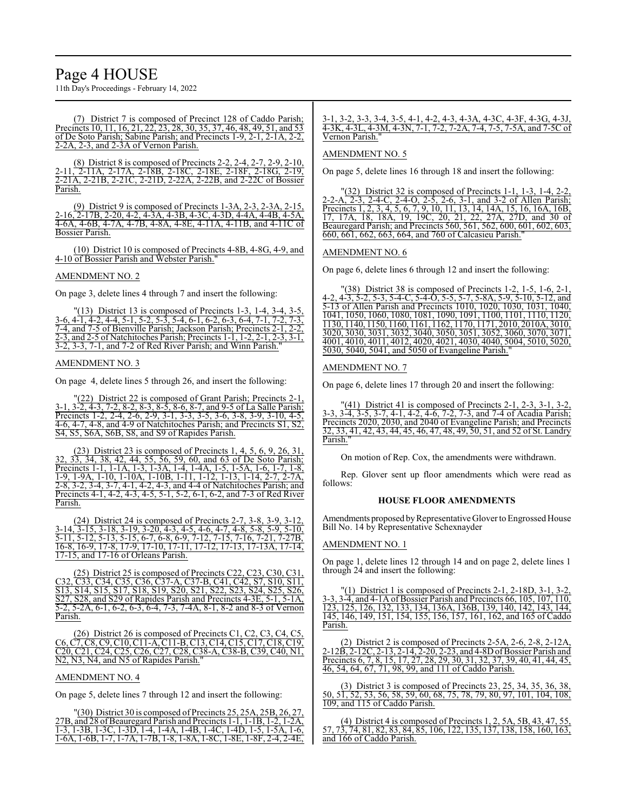# Page 4 HOUSE

11th Day's Proceedings - February 14, 2022

(7) District 7 is composed of Precinct 128 of Caddo Parish; Precincts 10, 11, 16, 21, 22, 23, 28, 30, 35, 37, 46, 48, 49, 51, and 53 of De Soto Parish; Sabine Parish; and Precincts 1-9, 2-1, 2-1A, 2-2, 2-2A, 2-3, and 2-3A of Vernon Parish.

(8) District 8 is composed of Precincts 2-2, 2-4, 2-7, 2-9, 2-10, 2-11, 2-11A, 2-17A, 2-18B, 2-18C, 2-18E, 2-18F, 2-18G, 2-19,  $\frac{2}{2-21}$ A, 2-21B, 2-21C, 2-21D, 2-22A, 2-22B, and 2-22C of Bossier Parish.

(9) District 9 is composed of Precincts 1-3A, 2-3, 2-3A, 2-15, 2-16, 2-17B, 2-20, 4-2, 4-3A, 4-3B, 4-3C, 4-3D, 4-4A, 4-4B, 4-5A, 4-6A, 4-6B, 4-7A, 4-7B, 4-8A, 4-8E, 4-11A, 4-11B, and 4-11C of Bossier Parish.

(10) District 10 is composed of Precincts 4-8B, 4-8G, 4-9, and 4-10 of Bossier Parish and Webster Parish."

#### AMENDMENT NO. 2

On page 3, delete lines 4 through 7 and insert the following:

"(13) District 13 is composed of Precincts 1-3, 1-4, 3-4, 3-5, 3-6, 4-1, 4-2, 4-4, 5-1, 5-2, 5-3, 5-4, 6-1, 6-2, 6-3, 6-4, 7-1, 7-2, 7-3, 7-4, and 7-5 of Bienville Parish; Jackson Parish; Precincts 2-1, 2-2, 2-3, and 2-5 of Natchitoches Parish; Precincts 1-1, 1-2, 2-1, 2-3, 3-1, 3-2, 3-3, 7-1, and 7-2 of Red River Parish; and Winn Parish."

#### AMENDMENT NO. 3

On page 4, delete lines 5 through 26, and insert the following:

"(22) District 22 is composed of Grant Parish; Precincts 2-1, 3-1, 3-2, 4-3, 7-2, 8-2, 8-3, 8-5, 8-6, 8-7, and 9-5 of La Salle Parish; Precincts 1-2, 2-4, 2-6, 2-9, 3-1, 3-3, 3-5, 3-6, 3-8, 3-9, 3-10, 4-5, 4-6, 4-7, 4-8, and 4-9 of Natchitoches Parish; and Precincts S1, S2, S4, S5, S6A, S6B, S8, and S9 of Rapides Parish.

(23) District 23 is composed of Precincts 1, 4, 5, 6, 9, 26, 31, 32, 33, 34, 38, 42, 44, 55, 56, 59, 60, and 63 of De Soto Parish; Precincts 1-1, 1-1A, 1-3, 1-3A, 1-4, 1-4A, 1-5, 1-5A, 1-6, 1-7, 1-8, 1-9, 1-9A, 1-10, 1-10A, 1-10B, 1-11, 1-12, 1-13, 1-14, 2-7, 2-7A, 2-8, 3-2, 3-4, 3-7, 4-1, 4-2, 4-3, and 4-4 of Natchitoches Parish; and Precincts 4-1, 4-2, 4-3, 4-5, 5-1, 5-2, 6-1, 6-2, and 7-3 of Red River Parish.

(24) District 24 is composed of Precincts 2-7, 3-8, 3-9, 3-12, 3-14, 3-15, 3-18, 3-19, 3-20, 4-3, 4-5, 4-6, 4-7, 4-8, 5-8, 5-9, 5-10, 5-11, 5-12, 5-13, 5-15, 6-7, 6-8, 6-9, 7-12, 7-15, 7-16, 7-21, 7-27B, 16-8, 16-9, 17-8, 17-9, 17-10, 17-11, 17-12, 17-13, 17-13A, 17-14, 17-15, and 17-16 of Orleans Parish.

5) District 25 is composed of Precincts C22, C23, C30, C31 C32, C33, C34, C35, C36, C37-A, C37-B, C41, C42, S7, S10, S11, S13, S14, S15, S17, S18, S19, S20, S21, S22, S23, S24, S25, S26, S27, S28, and S29 of Rapides Parish and Precincts 4-3E, 5-1, 5-1A, 5-2, 5-2A, 6-1, 6-2, 6-3, 6-4, 7-3, 7-4A, 8-1, 8-2 and 8-3 of Vernon Parish.

(26) District 26 is composed of Precincts C1, C2, C3, C4, C5, C6, C7, C8, C9, C10, C11-A, C11-B, C13, C14, C15, C17, C18, C19, C20, C21, C24, C25, C26, C27, C28, C38-A, C38-B, C39, C40, N1, N2, N3, N4, and N5 of Rapides Parish."

#### AMENDMENT NO. 4

On page 5, delete lines 7 through 12 and insert the following:

"(30) District 30 is composed of Precincts 25, 25A, 25B, 26, 27, 27B, and 28 of Beauregard Parish and Precincts 1-1, 1-1B, 1-2, 1-2A, 1-3, 1-3B, 1-3C, 1-3D, 1-4, 1-4A, 1-4B, 1-4C, 1-4D, 1-5, 1-5A, 1-6, 1-6A, 1-6B, 1-7, 1-7A, 1-7B, 1-8, 1-8A, 1-8C, 1-8E, 1-8F, 2-4, 2-4E,

#### 3-1, 3-2, 3-3, 3-4, 3-5, 4-1, 4-2, 4-3, 4-3A, 4-3C, 4-3F, 4-3G, 4-3J, 4-3K, 4-3L, 4-3M, 4-3N, 7-1, 7-2, 7-2A, 7-4, 7-5, 7-5A, and 7-5C of Vernon Parish."

#### AMENDMENT NO. 5

On page 5, delete lines 16 through 18 and insert the following:

"(32) District 32 is composed of Precincts 1-1, 1-3, 1-4, 2-2, 2-2-A, 2-3, 2-4-C, 2-4-O, 2-5, 2-6, 3-1, and 3-2 of Allen Parish; Precincts 1, 2, 3, 4, 5, 6, 7, 9, 10, 11, 13, 14, 14A, 15, 16, 16A, 16B, 17, 17A, 18, 18A, 19, 19C, 20, 21, 22, 27A, 27D, and 30 of Beauregard Parish; and Precincts 560, 561, 562, 600, 601, 602, 603, 660, 661, 662, 663, 664, and 760 of Calcasieu Parish."

# AMENDMENT NO. 6

On page 6, delete lines 6 through 12 and insert the following:

"(38) District 38 is composed of Precincts 1-2, 1-5, 1-6, 2-1, 4-2, 4-3, 5-2, 5-3, 5-4-C, 5-4-O, 5-5, 5-7, 5-8A, 5-9, 5-10, 5-12, and 5-13 of Allen Parish and Precincts 1010, 1020, 1030, 1031, 1040, 1041, 1050, 1060, 1080, 1081, 1090, 1091, 1100, 1101, 1110, 1120, 1130, 1140, 1150, 1160, 1161, 1162, 1170, 1171, 2010, 2010A, 3010, 3020, 3030, 3031, 3032, 3040, 3050, 3051, 3052, 3060, 3070, 3071, 4001, 4010, 4011, 4012, 4020, 4021, 4030, 4040, 5004, 5010, 5020, 5030, 5040, 5041, and 5050 of Evangeline Parish."

#### AMENDMENT NO. 7

On page 6, delete lines 17 through 20 and insert the following:

 $(41)$  District 41 is composed of Precincts 2-1, 2-3, 3-1, 3-2, 3-3, 3-4, 3-5, 3-7, 4-1, 4-2, 4-6, 7-2, 7-3, and 7-4 of Acadia Parish; Precincts 2020, 2030, and 2040 of Evangeline Parish; and Precincts 32, 33, 41, 42, 43, 44, 45, 46, 47, 48, 49, 50, 51, and 52 of St. Landry Parish."

On motion of Rep. Cox, the amendments were withdrawn.

Rep. Glover sent up floor amendments which were read as follows:

#### **HOUSE FLOOR AMENDMENTS**

Amendments proposed by Representative Glover to Engrossed House Bill No. 14 by Representative Schexnayder

#### AMENDMENT NO. 1

On page 1, delete lines 12 through 14 and on page 2, delete lines 1 through 24 and insert the following:

 $(1)$  District 1 is composed of Precincts 2-1, 2-18D, 3-1, 3-2, 3-3, 3-4, and 4-1A of Bossier Parish and Precincts 66, 105, 107, 110, 123, 125, 126, 132, 133, 134, 136A, 136B, 139, 140, 142, 143, 144, 145, 146, 149, 151, 154, 155, 156, 157, 161, 162, and 165 of Caddo Parish.

(2) District 2 is composed of Precincts 2-5A, 2-6, 2-8, 2-12A, 2-12B, 2-12C, 2-13, 2-14, 2-20, 2-23, and 4-8DofBossier Parish and Precincts 6, 7, 8, 15, 17, 27, 28, 29, 30, 31, 32, 37, 39, 40, 41, 44, 45, 46, 54, 64, 67, 71, 98, 99, and 111 of Caddo Parish.

(3) District 3 is composed of Precincts 23, 25, 34, 35, 36, 38, 50, 51, 52, 53, 56, 58, 59, 60, 68, 75, 78, 79, 80, 97, 101, 104, 108, 109, and 115 of Caddo Parish.

(4) District 4 is composed of Precincts 1, 2, 5A, 5B, 43, 47, 55, 57, 73, 74, 81, 82, 83, 84, 85, 106, 122, 135, 137, 138, 158, 160, 163, and 166 of Caddo Parish.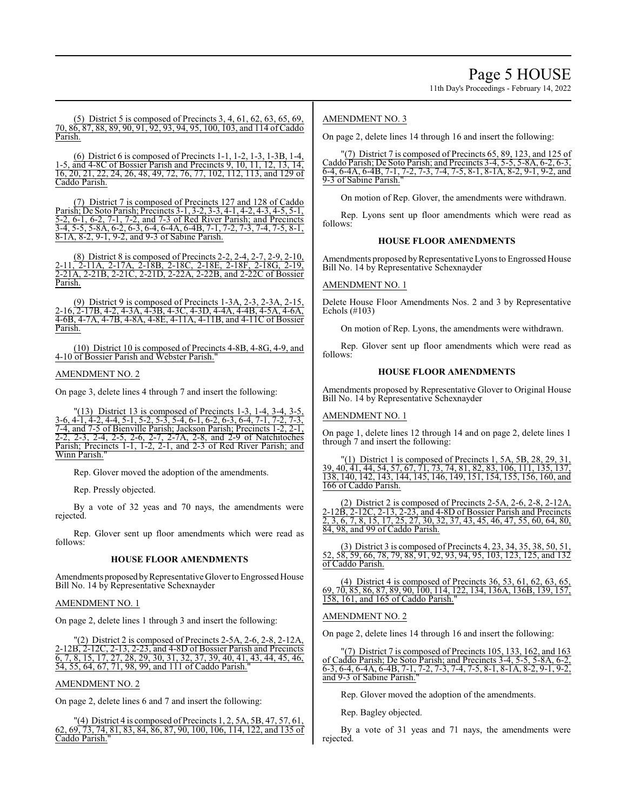11th Day's Proceedings - February 14, 2022

(5) District 5 is composed of Precincts 3, 4, 61, 62, 63, 65, 69, 70, 86, 87, 88, 89, 90, 91, 92, 93, 94, 95, 100, 103, and 114 of Caddo Parish.

(6) District 6 is composed of Precincts 1-1, 1-2, 1-3, 1-3B, 1-4, 1-5, and 4-8C of Bossier Parish and Precincts 9, 10, 11, 12, 13, 14, 16, 20, 21, 22, 24, 26, 48, 49, 72, 76, 77, 102, 112, 113, and 129 of 16, 20, 21, 22, 24, 26, 48, 49, 72, 76, 77, 102, 112, 113, and 129 of Caddo Parish.

(7) District 7 is composed of Precincts 127 and 128 of Caddo Parish; De Soto Parish; Precincts 3-1, 3-2, 3-3, 4-1, 4-2, 4-3, 4-5, 5-1, 5-2, 6-1, 6-2, 7-1, 7-2, and 7-3 of Red River Parish; and Precincts 3-4, 5-5, 5-8A, 6-2, 6-3, 6-4, 6-4A, 6-4B, 7-1, 7-2, 7-3, 7-4, 7-5, 8-1, 8-1A, 8-2, 9-1, 9-2, and 9-3 of Sabine Parish.

(8) District 8 is composed of Precincts 2-2, 2-4, 2-7, 2-9, 2-10, 2-11, 2-11A, 2-17A, 2-18B, 2-18C, 2-18E, 2-18F, 2-18G, 2-19, 2-21A, 2-21B, 2-21C, 2-21D, 2-22A, 2-22B, and 2-22C of Bossier Parish.

(9) District 9 is composed of Precincts 1-3A, 2-3, 2-3A, 2-15, 2-16, 2-17B, 4-2, 4-3A, 4-3B, 4-3C, 4-3D, 4-4A, 4-4B, 4-5A, 4-6A, 4-6B, 4-7A, 4-7B, 4-8A, 4-8E, 4-11A, 4-11B, and 4-11C of Bossier Parish.

(10) District 10 is composed of Precincts 4-8B, 4-8G, 4-9, and 4-10 of Bossier Parish and Webster Parish.

### AMENDMENT NO. 2

On page 3, delete lines 4 through 7 and insert the following:

"(13) District 13 is composed of Precincts 1-3, 1-4, 3-4, 3-5, 3-6, 4-1, 4-2, 4-4, 5-1, 5-2, 5-3, 5-4, 6-1, 6-2, 6-3, 6-4, 7-1, 7-2, 7-3, 7-4, and 7-5 of Bienville Parish; Jackson Parish; Precincts 1-2, 2-1, 2-2, 2-3, 2-4, 2-5, 2-6, 2-7, 2-7A, 2-8, and 2-9 of Natchitoches Parish; Precincts 1-1, 1-2, 2-1, and 2-3 of Red River Parish; and Winn Parish."

Rep. Glover moved the adoption of the amendments.

Rep. Pressly objected.

By a vote of 32 yeas and 70 nays, the amendments were rejected.

Rep. Glover sent up floor amendments which were read as follows:

#### **HOUSE FLOOR AMENDMENTS**

Amendments proposed by Representative Glover to Engrossed House Bill No. 14 by Representative Schexnayder

#### AMENDMENT NO. 1

On page 2, delete lines 1 through 3 and insert the following:

 $(2)$  District 2 is composed of Precincts 2-5A, 2-6, 2-8, 2-12A, 2-12B, 2-12C, 2-13, 2-23, and 4-8D of Bossier Parish and Precincts  $\overline{6, 7, 8, 15, 17, 27, 28, 29, 30, 31, 32, 37, 39, 40, 41, 43, 44, 45, 46,$ 54, 55, 64, 67, 71, 98, 99, and 111 of Caddo Parish."

#### AMENDMENT NO. 2

On page 2, delete lines 6 and 7 and insert the following:

 $''(4)$  District 4 is composed of Precincts 1, 2, 5A, 5B, 47, 57, 61 62, 69, 73, 74, 81, 83, 84, 86, 87, 90, 100, 106, 114, 122, and 135 of Caddo Parish."

## AMENDMENT NO. 3

On page 2, delete lines 14 through 16 and insert the following:

"(7) District 7 is composed of Precincts 65, 89, 123, and 125 of Caddo Parish; De Soto Parish; and Precincts 3-4, 5-5, 5-8A, 6-2, 6-3, 6-4, 6-4A, 6-4B, 7-1, 7-2, 7-3, 7-4, 7-5, 8-1, 8-1A, 8-2, 9-1, 9-2, and 9-3 of Sabine Parish.

On motion of Rep. Glover, the amendments were withdrawn.

Rep. Lyons sent up floor amendments which were read as follows:

## **HOUSE FLOOR AMENDMENTS**

Amendments proposed by Representative Lyons to Engrossed House Bill No. 14 by Representative Schexnayder

# AMENDMENT NO. 1

Delete House Floor Amendments Nos. 2 and 3 by Representative Echols (#103)

On motion of Rep. Lyons, the amendments were withdrawn.

Rep. Glover sent up floor amendments which were read as follows:

### **HOUSE FLOOR AMENDMENTS**

Amendments proposed by Representative Glover to Original House Bill No. 14 by Representative Schexnayder

#### AMENDMENT NO. 1

On page 1, delete lines 12 through 14 and on page 2, delete lines 1 through 7 and insert the following:

"(1) District 1 is composed of Precincts 1, 5A, 5B, 28, 29, 31 39, 40, 41, 44, 54, 57, 67, 71, 73, 74, 81, 82, 83, 106, 111, 135, 137, 138, 140, 142, 143, 144, 145, 146, 149, 151, 154, 155, 156, 160, and 166 of Caddo Parish.

(2) District 2 is composed of Precincts 2-5A, 2-6, 2-8, 2-12A, 2-12B, 2-12C, 2-13, 2-23, and 4-8D of Bossier Parish and Precincts 2, 3, 6, 7, 8, 15, 17, 25, 27, 30, 32, 37, 43, 45, 46, 47, 55, 60, 64, 80, 84, 98, and 99 of Caddo Parish.

(3) District 3 is composed of Precincts 4, 23, 34, 35, 38, 50, 51, 52, 58, 59, 66, 78, 79, 88, 91, 92, 93, 94, 95, 103, 123, 125, and 132 of Caddo Parish.

(4) District 4 is composed of Precincts 36, 53, 61, 62, 63, 65, 69, 70, 85, 86, 87, 89, 90, 100, 114, 122, 134, 136A, 136B, 139, 157, 158, 161, and 165 of Caddo Parish."

#### AMENDMENT NO. 2

On page 2, delete lines 14 through 16 and insert the following:

| $"(7)$ District 7 is composed of Precincts 105, 133, 162, and 163          |
|----------------------------------------------------------------------------|
| of Caddo Parish; De Soto Parish; and Precincts 3-4, 5-5, 5-8A, 6-2,        |
| $6-3, 6-4, 6-4A, 6-4B, 7-1, 7-2, 7-3, 7-4, 7-5, 8-1, 8-1A, 8-2, 9-1, 9-2,$ |
| and 9-3 of Sabine Parish."                                                 |

Rep. Glover moved the adoption of the amendments.

Rep. Bagley objected.

By a vote of 31 yeas and 71 nays, the amendments were rejected.